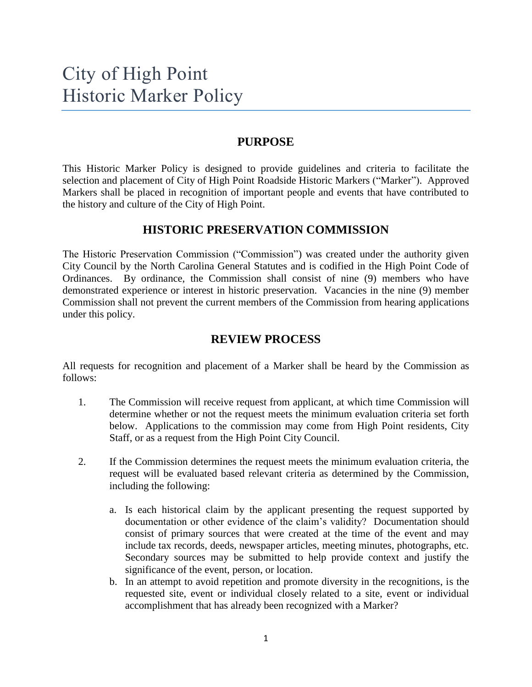#### **PURPOSE**

This Historic Marker Policy is designed to provide guidelines and criteria to facilitate the selection and placement of City of High Point Roadside Historic Markers ("Marker"). Approved Markers shall be placed in recognition of important people and events that have contributed to the history and culture of the City of High Point.

#### **HISTORIC PRESERVATION COMMISSION**

The Historic Preservation Commission ("Commission") was created under the authority given City Council by the North Carolina General Statutes and is codified in the High Point Code of Ordinances. By ordinance, the Commission shall consist of nine (9) members who have demonstrated experience or interest in historic preservation. Vacancies in the nine (9) member Commission shall not prevent the current members of the Commission from hearing applications under this policy.

### **REVIEW PROCESS**

All requests for recognition and placement of a Marker shall be heard by the Commission as follows:

- 1. The Commission will receive request from applicant, at which time Commission will determine whether or not the request meets the minimum evaluation criteria set forth below. Applications to the commission may come from High Point residents, City Staff, or as a request from the High Point City Council.
- 2. If the Commission determines the request meets the minimum evaluation criteria, the request will be evaluated based relevant criteria as determined by the Commission, including the following:
	- a. Is each historical claim by the applicant presenting the request supported by documentation or other evidence of the claim's validity? Documentation should consist of primary sources that were created at the time of the event and may include tax records, deeds, newspaper articles, meeting minutes, photographs, etc. Secondary sources may be submitted to help provide context and justify the significance of the event, person, or location.
	- b. In an attempt to avoid repetition and promote diversity in the recognitions, is the requested site, event or individual closely related to a site, event or individual accomplishment that has already been recognized with a Marker?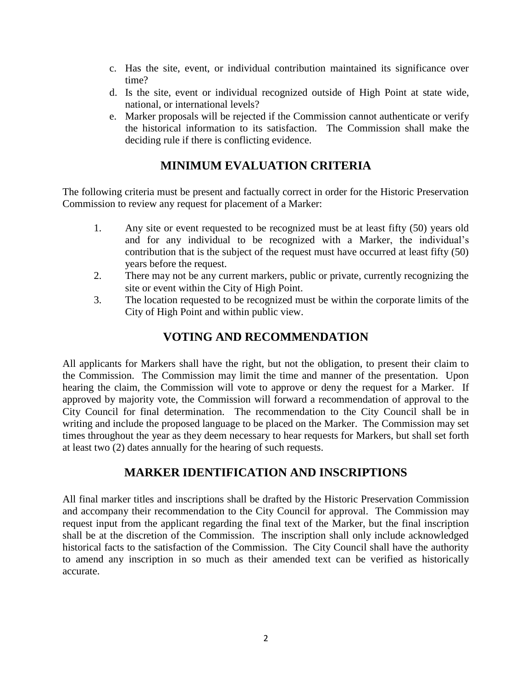- c. Has the site, event, or individual contribution maintained its significance over time?
- d. Is the site, event or individual recognized outside of High Point at state wide, national, or international levels?
- e. Marker proposals will be rejected if the Commission cannot authenticate or verify the historical information to its satisfaction. The Commission shall make the deciding rule if there is conflicting evidence.

# **MINIMUM EVALUATION CRITERIA**

The following criteria must be present and factually correct in order for the Historic Preservation Commission to review any request for placement of a Marker:

- 1. Any site or event requested to be recognized must be at least fifty (50) years old and for any individual to be recognized with a Marker, the individual's contribution that is the subject of the request must have occurred at least fifty (50) years before the request.
- 2. There may not be any current markers, public or private, currently recognizing the site or event within the City of High Point.
- 3. The location requested to be recognized must be within the corporate limits of the City of High Point and within public view.

# **VOTING AND RECOMMENDATION**

All applicants for Markers shall have the right, but not the obligation, to present their claim to the Commission. The Commission may limit the time and manner of the presentation. Upon hearing the claim, the Commission will vote to approve or deny the request for a Marker. If approved by majority vote, the Commission will forward a recommendation of approval to the City Council for final determination. The recommendation to the City Council shall be in writing and include the proposed language to be placed on the Marker. The Commission may set times throughout the year as they deem necessary to hear requests for Markers, but shall set forth at least two (2) dates annually for the hearing of such requests.

# **MARKER IDENTIFICATION AND INSCRIPTIONS**

All final marker titles and inscriptions shall be drafted by the Historic Preservation Commission and accompany their recommendation to the City Council for approval. The Commission may request input from the applicant regarding the final text of the Marker, but the final inscription shall be at the discretion of the Commission. The inscription shall only include acknowledged historical facts to the satisfaction of the Commission. The City Council shall have the authority to amend any inscription in so much as their amended text can be verified as historically accurate.